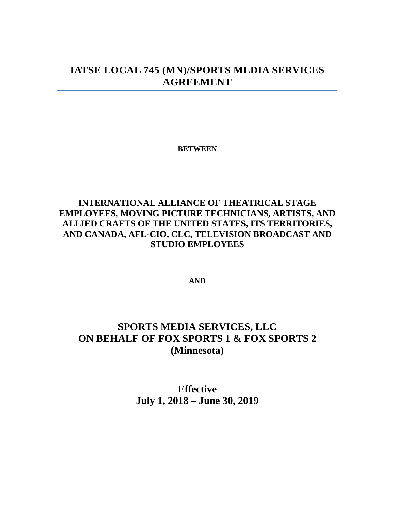# **IATSE LOCAL 745 (MN)/SPORTS MEDIA SERVICES AGREEMENT**

**BETWEEN**

# **INTERNATIONAL ALLIANCE OF THEATRICAL STAGE EMPLOYEES, MOVING PICTURE TECHNICIANS, ARTISTS, AND ALLIED CRAFTS OF THE UNITED STATES, ITS TERRITORIES, AND CANADA, AFL-CIO, CLC, TELEVISION BROADCAST AND STUDIO EMPLOYEES**

**AND**

# **SPORTS MEDIA SERVICES, LLC ON BEHALF OF FOX SPORTS 1 & FOX SPORTS 2 (Minnesota)**

**Effective July 1, 2018 – June 30, 2019**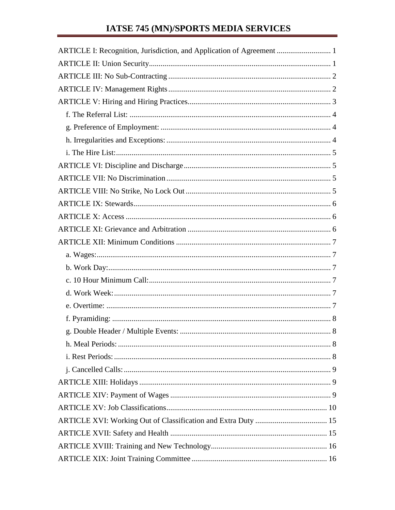# IATSE 745 (MN)/SPORTS MEDIA SERVICES

| ARTICLE I: Recognition, Jurisdiction, and Application of Agreement  1 |
|-----------------------------------------------------------------------|
|                                                                       |
|                                                                       |
|                                                                       |
|                                                                       |
|                                                                       |
|                                                                       |
|                                                                       |
|                                                                       |
|                                                                       |
|                                                                       |
|                                                                       |
|                                                                       |
|                                                                       |
|                                                                       |
|                                                                       |
|                                                                       |
|                                                                       |
|                                                                       |
|                                                                       |
|                                                                       |
|                                                                       |
|                                                                       |
|                                                                       |
|                                                                       |
|                                                                       |
|                                                                       |
|                                                                       |
|                                                                       |
|                                                                       |
|                                                                       |
|                                                                       |
|                                                                       |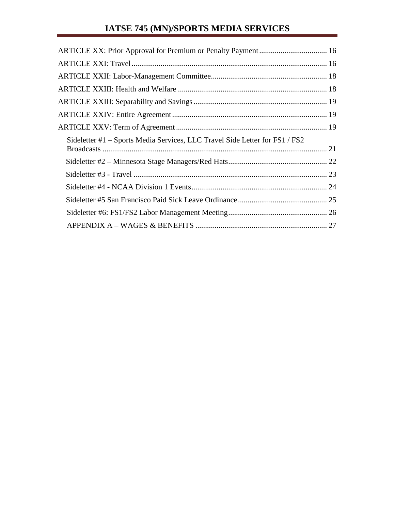# **IATSE 745 (MN)/SPORTS MEDIA SERVICES**

| Sideletter #1 – Sports Media Services, LLC Travel Side Letter for FS1 / FS2 |  |
|-----------------------------------------------------------------------------|--|
|                                                                             |  |
|                                                                             |  |
|                                                                             |  |
|                                                                             |  |
|                                                                             |  |
|                                                                             |  |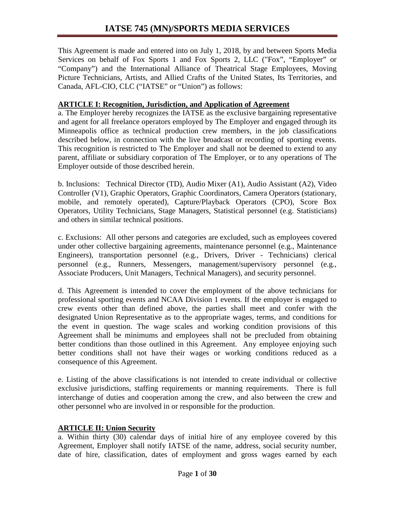This Agreement is made and entered into on July 1, 2018, by and between Sports Media Services on behalf of Fox Sports 1 and Fox Sports 2, LLC ("Fox", "Employer" or "Company") and the International Alliance of Theatrical Stage Employees, Moving Picture Technicians, Artists, and Allied Crafts of the United States, Its Territories, and Canada, AFL-CIO, CLC ("IATSE" or "Union") as follows:

#### **ARTICLE I: Recognition, Jurisdiction, and Application of Agreement**

a. The Employer hereby recognizes the IATSE as the exclusive bargaining representative and agent for all freelance operators employed by The Employer and engaged through its Minneapolis office as technical production crew members, in the job classifications described below, in connection with the live broadcast or recording of sporting events. This recognition is restricted to The Employer and shall not be deemed to extend to any parent, affiliate or subsidiary corporation of The Employer, or to any operations of The Employer outside of those described herein.

b. Inclusions: Technical Director (TD), Audio Mixer (A1), Audio Assistant (A2), Video Controller (V1), Graphic Operators, Graphic Coordinators, Camera Operators (stationary, mobile, and remotely operated), Capture/Playback Operators (CPO), Score Box Operators, Utility Technicians, Stage Managers, Statistical personnel (e.g. Statisticians) and others in similar technical positions.

c. Exclusions: All other persons and categories are excluded, such as employees covered under other collective bargaining agreements, maintenance personnel (e.g., Maintenance Engineers), transportation personnel (e.g., Drivers, Driver - Technicians) clerical personnel (e.g., Runners, Messengers, management/supervisory personnel (e.g., Associate Producers, Unit Managers, Technical Managers), and security personnel.

d. This Agreement is intended to cover the employment of the above technicians for professional sporting events and NCAA Division 1 events. If the employer is engaged to crew events other than defined above, the parties shall meet and confer with the designated Union Representative as to the appropriate wages, terms, and conditions for the event in question. The wage scales and working condition provisions of this Agreement shall be minimums and employees shall not be precluded from obtaining better conditions than those outlined in this Agreement. Any employee enjoying such better conditions shall not have their wages or working conditions reduced as a consequence of this Agreement.

e. Listing of the above classifications is not intended to create individual or collective exclusive jurisdictions, staffing requirements or manning requirements. There is full interchange of duties and cooperation among the crew, and also between the crew and other personnel who are involved in or responsible for the production.

#### **ARTICLE II: Union Security**

a. Within thirty (30) calendar days of initial hire of any employee covered by this Agreement, Employer shall notify IATSE of the name, address, social security number, date of hire, classification, dates of employment and gross wages earned by each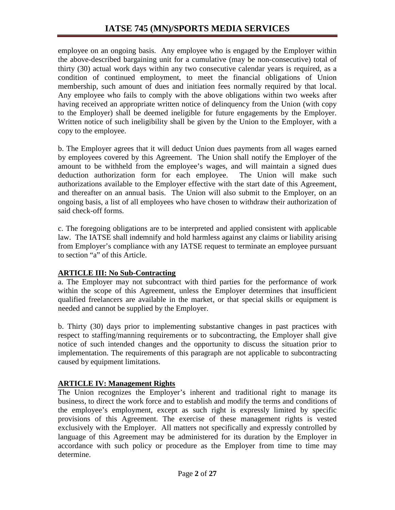employee on an ongoing basis. Any employee who is engaged by the Employer within the above-described bargaining unit for a cumulative (may be non-consecutive) total of thirty (30) actual work days within any two consecutive calendar years is required, as a condition of continued employment, to meet the financial obligations of Union membership, such amount of dues and initiation fees normally required by that local. Any employee who fails to comply with the above obligations within two weeks after having received an appropriate written notice of delinquency from the Union (with copy to the Employer) shall be deemed ineligible for future engagements by the Employer. Written notice of such ineligibility shall be given by the Union to the Employer, with a copy to the employee.

b. The Employer agrees that it will deduct Union dues payments from all wages earned by employees covered by this Agreement. The Union shall notify the Employer of the amount to be withheld from the employee's wages, and will maintain a signed dues deduction authorization form for each employee. The Union will make such authorizations available to the Employer effective with the start date of this Agreement, and thereafter on an annual basis. The Union will also submit to the Employer, on an ongoing basis, a list of all employees who have chosen to withdraw their authorization of said check-off forms.

c. The foregoing obligations are to be interpreted and applied consistent with applicable law. The IATSE shall indemnify and hold harmless against any claims or liability arising from Employer's compliance with any IATSE request to terminate an employee pursuant to section "a" of this Article.

## **ARTICLE III: No Sub-Contracting**

a. The Employer may not subcontract with third parties for the performance of work within the scope of this Agreement, unless the Employer determines that insufficient qualified freelancers are available in the market, or that special skills or equipment is needed and cannot be supplied by the Employer.

b. Thirty (30) days prior to implementing substantive changes in past practices with respect to staffing/manning requirements or to subcontracting, the Employer shall give notice of such intended changes and the opportunity to discuss the situation prior to implementation. The requirements of this paragraph are not applicable to subcontracting caused by equipment limitations.

## **ARTICLE IV: Management Rights**

The Union recognizes the Employer's inherent and traditional right to manage its business, to direct the work force and to establish and modify the terms and conditions of the employee's employment, except as such right is expressly limited by specific provisions of this Agreement. The exercise of these management rights is vested exclusively with the Employer. All matters not specifically and expressly controlled by language of this Agreement may be administered for its duration by the Employer in accordance with such policy or procedure as the Employer from time to time may determine.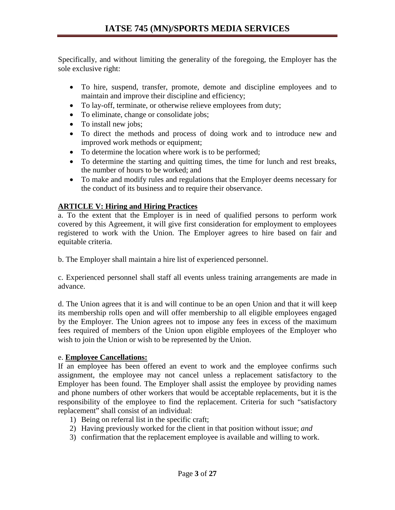Specifically, and without limiting the generality of the foregoing, the Employer has the sole exclusive right:

- To hire, suspend, transfer, promote, demote and discipline employees and to maintain and improve their discipline and efficiency;
- To lay-off, terminate, or otherwise relieve employees from duty;
- To eliminate, change or consolidate jobs;
- To install new jobs;
- To direct the methods and process of doing work and to introduce new and improved work methods or equipment;
- To determine the location where work is to be performed;
- To determine the starting and quitting times, the time for lunch and rest breaks, the number of hours to be worked; and
- To make and modify rules and regulations that the Employer deems necessary for the conduct of its business and to require their observance.

#### **ARTICLE V: Hiring and Hiring Practices**

a. To the extent that the Employer is in need of qualified persons to perform work covered by this Agreement, it will give first consideration for employment to employees registered to work with the Union. The Employer agrees to hire based on fair and equitable criteria.

b. The Employer shall maintain a hire list of experienced personnel.

c. Experienced personnel shall staff all events unless training arrangements are made in advance.

d. The Union agrees that it is and will continue to be an open Union and that it will keep its membership rolls open and will offer membership to all eligible employees engaged by the Employer. The Union agrees not to impose any fees in excess of the maximum fees required of members of the Union upon eligible employees of the Employer who wish to join the Union or wish to be represented by the Union.

#### e. **Employee Cancellations:**

If an employee has been offered an event to work and the employee confirms such assignment, the employee may not cancel unless a replacement satisfactory to the Employer has been found. The Employer shall assist the employee by providing names and phone numbers of other workers that would be acceptable replacements, but it is the responsibility of the employee to find the replacement. Criteria for such "satisfactory replacement" shall consist of an individual:

- 1) Being on referral list in the specific craft;
- 2) Having previously worked for the client in that position without issue; *and*
- 3) confirmation that the replacement employee is available and willing to work.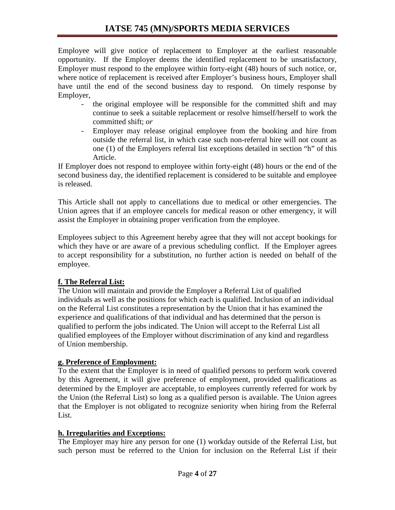Employee will give notice of replacement to Employer at the earliest reasonable opportunity. If the Employer deems the identified replacement to be unsatisfactory, Employer must respond to the employee within forty-eight (48) hours of such notice, or, where notice of replacement is received after Employer's business hours, Employer shall have until the end of the second business day to respond. On timely response by Employer,

- the original employee will be responsible for the committed shift and may continue to seek a suitable replacement or resolve himself/herself to work the committed shift; *or*
- Employer may release original employee from the booking and hire from outside the referral list, in which case such non-referral hire will not count as one (1) of the Employers referral list exceptions detailed in section "h" of this Article.

If Employer does not respond to employee within forty-eight (48) hours or the end of the second business day, the identified replacement is considered to be suitable and employee is released.

This Article shall not apply to cancellations due to medical or other emergencies. The Union agrees that if an employee cancels for medical reason or other emergency, it will assist the Employer in obtaining proper verification from the employee.

Employees subject to this Agreement hereby agree that they will not accept bookings for which they have or are aware of a previous scheduling conflict. If the Employer agrees to accept responsibility for a substitution, no further action is needed on behalf of the employee.

## **f. The Referral List:**

The Union will maintain and provide the Employer a Referral List of qualified individuals as well as the positions for which each is qualified. Inclusion of an individual on the Referral List constitutes a representation by the Union that it has examined the experience and qualifications of that individual and has determined that the person is qualified to perform the jobs indicated. The Union will accept to the Referral List all qualified employees of the Employer without discrimination of any kind and regardless of Union membership.

## **g. Preference of Employment:**

To the extent that the Employer is in need of qualified persons to perform work covered by this Agreement, it will give preference of employment, provided qualifications as determined by the Employer are acceptable, to employees currently referred for work by the Union (the Referral List) so long as a qualified person is available. The Union agrees that the Employer is not obligated to recognize seniority when hiring from the Referral List.

#### **h. Irregularities and Exceptions:**

The Employer may hire any person for one (1) workday outside of the Referral List, but such person must be referred to the Union for inclusion on the Referral List if their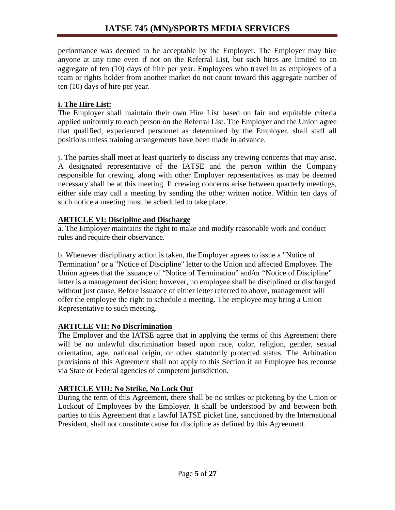performance was deemed to be acceptable by the Employer. The Employer may hire anyone at any time even if not on the Referral List, but such hires are limited to an aggregate of ten (10) days of hire per year. Employees who travel in as employees of a team or rights holder from another market do not count toward this aggregate number of ten (10) days of hire per year.

### **i. The Hire List:**

The Employer shall maintain their own Hire List based on fair and equitable criteria applied uniformly to each person on the Referral List. The Employer and the Union agree that qualified, experienced personnel as determined by the Employer, shall staff all positions unless training arrangements have been made in advance.

j. The parties shall meet at least quarterly to discuss any crewing concerns that may arise. A designated representative of the IATSE and the person within the Company responsible for crewing, along with other Employer representatives as may be deemed necessary shall be at this meeting. If crewing concerns arise between quarterly meetings, either side may call a meeting by sending the other written notice. Within ten days of such notice a meeting must be scheduled to take place.

### **ARTICLE VI: Discipline and Discharge**

a. The Employer maintains the right to make and modify reasonable work and conduct rules and require their observance.

b. Whenever disciplinary action is taken, the Employer agrees to issue a "Notice of Termination" or a "Notice of Discipline" letter to the Union and affected Employee. The Union agrees that the issuance of "Notice of Termination" and/or "Notice of Discipline" letter is a management decision; however, no employee shall be disciplined or discharged without just cause. Before issuance of either letter referred to above, management will offer the employee the right to schedule a meeting. The employee may bring a Union Representative to such meeting.

## **ARTICLE VII: No Discrimination**

The Employer and the IATSE agree that in applying the terms of this Agreement there will be no unlawful discrimination based upon race, color, religion, gender, sexual orientation, age, national origin, or other statutorily protected status. The Arbitration provisions of this Agreement shall not apply to this Section if an Employee has recourse via State or Federal agencies of competent jurisdiction.

## **ARTICLE VIII: No Strike, No Lock Out**

During the term of this Agreement, there shall be no strikes or picketing by the Union or Lockout of Employees by the Employer. It shall be understood by and between both parties to this Agreement that a lawful IATSE picket line, sanctioned by the International President, shall not constitute cause for discipline as defined by this Agreement.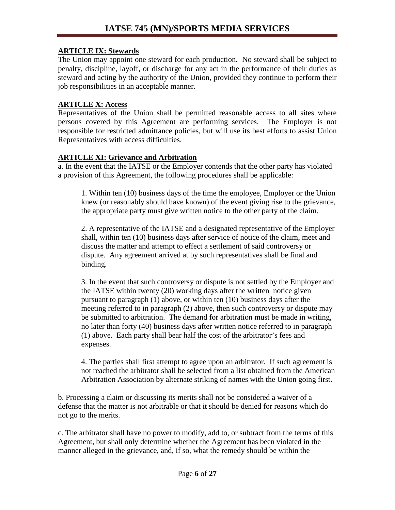#### **ARTICLE IX: Stewards**

The Union may appoint one steward for each production. No steward shall be subject to penalty, discipline, layoff, or discharge for any act in the performance of their duties as steward and acting by the authority of the Union, provided they continue to perform their job responsibilities in an acceptable manner.

#### **ARTICLE X: Access**

Representatives of the Union shall be permitted reasonable access to all sites where persons covered by this Agreement are performing services. The Employer is not responsible for restricted admittance policies, but will use its best efforts to assist Union Representatives with access difficulties.

#### **ARTICLE XI: Grievance and Arbitration**

a. In the event that the IATSE or the Employer contends that the other party has violated a provision of this Agreement, the following procedures shall be applicable:

1. Within ten (10) business days of the time the employee, Employer or the Union knew (or reasonably should have known) of the event giving rise to the grievance, the appropriate party must give written notice to the other party of the claim.

2. A representative of the IATSE and a designated representative of the Employer shall, within ten (10) business days after service of notice of the claim, meet and discuss the matter and attempt to effect a settlement of said controversy or dispute. Any agreement arrived at by such representatives shall be final and binding.

3. In the event that such controversy or dispute is not settled by the Employer and the IATSE within twenty (20) working days after the written notice given pursuant to paragraph (1) above, or within ten (10) business days after the meeting referred to in paragraph (2) above, then such controversy or dispute may be submitted to arbitration. The demand for arbitration must be made in writing, no later than forty (40) business days after written notice referred to in paragraph (1) above. Each party shall bear half the cost of the arbitrator's fees and expenses.

4. The parties shall first attempt to agree upon an arbitrator. If such agreement is not reached the arbitrator shall be selected from a list obtained from the American Arbitration Association by alternate striking of names with the Union going first.

b. Processing a claim or discussing its merits shall not be considered a waiver of a defense that the matter is not arbitrable or that it should be denied for reasons which do not go to the merits.

c. The arbitrator shall have no power to modify, add to, or subtract from the terms of this Agreement, but shall only determine whether the Agreement has been violated in the manner alleged in the grievance, and, if so, what the remedy should be within the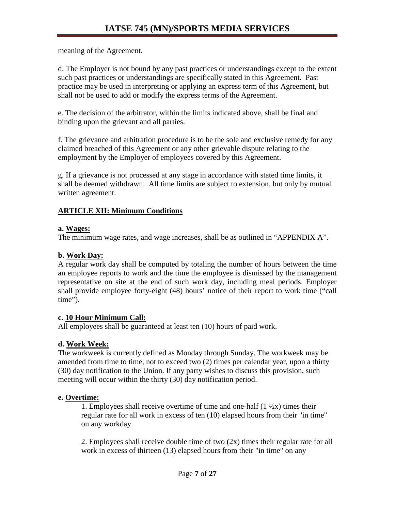meaning of the Agreement.

d. The Employer is not bound by any past practices or understandings except to the extent such past practices or understandings are specifically stated in this Agreement. Past practice may be used in interpreting or applying an express term of this Agreement, but shall not be used to add or modify the express terms of the Agreement.

e. The decision of the arbitrator, within the limits indicated above, shall be final and binding upon the grievant and all parties.

f. The grievance and arbitration procedure is to be the sole and exclusive remedy for any claimed breached of this Agreement or any other grievable dispute relating to the employment by the Employer of employees covered by this Agreement.

g. If a grievance is not processed at any stage in accordance with stated time limits, it shall be deemed withdrawn. All time limits are subject to extension, but only by mutual written agreement.

### **ARTICLE XII: Minimum Conditions**

#### **a. Wages:**

The minimum wage rates, and wage increases, shall be as outlined in "APPENDIX A".

#### **b. Work Day:**

A regular work day shall be computed by totaling the number of hours between the time an employee reports to work and the time the employee is dismissed by the management representative on site at the end of such work day, including meal periods. Employer shall provide employee forty-eight (48) hours' notice of their report to work time ("call time").

#### **c. 10 Hour Minimum Call:**

All employees shall be guaranteed at least ten (10) hours of paid work.

## **d. Work Week:**

The workweek is currently defined as Monday through Sunday. The workweek may be amended from time to time, not to exceed two (2) times per calendar year, upon a thirty (30) day notification to the Union. If any party wishes to discuss this provision, such meeting will occur within the thirty (30) day notification period.

## **e. Overtime:**

1. Employees shall receive overtime of time and one-half  $(1 \frac{1}{2}x)$  times their regular rate for all work in excess of ten (10) elapsed hours from their "in time" on any workday.

2. Employees shall receive double time of two (2x) times their regular rate for all work in excess of thirteen (13) elapsed hours from their "in time" on any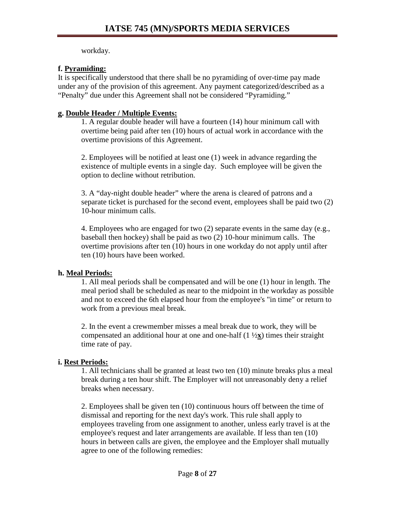workday.

## **f. Pyramiding:**

It is specifically understood that there shall be no pyramiding of over-time pay made under any of the provision of this agreement. Any payment categorized/described as a "Penalty" due under this Agreement shall not be considered "Pyramiding."

### **g. Double Header / Multiple Events:**

1. A regular double header will have a fourteen (14) hour minimum call with overtime being paid after ten (10) hours of actual work in accordance with the overtime provisions of this Agreement.

2. Employees will be notified at least one (1) week in advance regarding the existence of multiple events in a single day. Such employee will be given the option to decline without retribution.

3. A "day-night double header" where the arena is cleared of patrons and a separate ticket is purchased for the second event, employees shall be paid two (2) 10-hour minimum calls.

4. Employees who are engaged for two (2) separate events in the same day (e.g., baseball then hockey) shall be paid as two (2) 10-hour minimum calls. The overtime provisions after ten (10) hours in one workday do not apply until after ten (10) hours have been worked.

## **h. Meal Periods:**

1. All meal periods shall be compensated and will be one (1) hour in length. The meal period shall be scheduled as near to the midpoint in the workday as possible and not to exceed the 6th elapsed hour from the employee's "in time" or return to work from a previous meal break.

2. In the event a crewmember misses a meal break due to work, they will be compensated an additional hour at one and one-half (1 ½**x**) times their straight time rate of pay.

## **i. Rest Periods:**

1. All technicians shall be granted at least two ten (10) minute breaks plus a meal break during a ten hour shift. The Employer will not unreasonably deny a relief breaks when necessary.

2. Employees shall be given ten (10) continuous hours off between the time of dismissal and reporting for the next day's work. This rule shall apply to employees traveling from one assignment to another, unless early travel is at the employee's request and later arrangements are available. If less than ten (10) hours in between calls are given, the employee and the Employer shall mutually agree to one of the following remedies: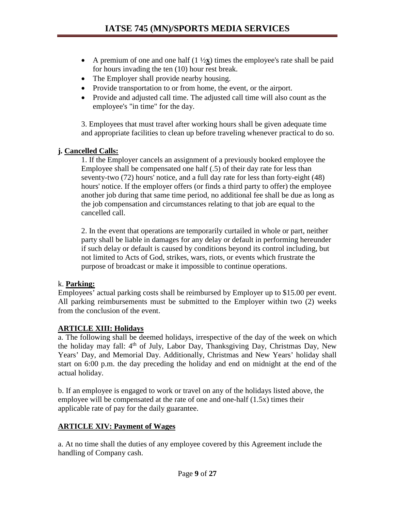- A premium of one and one half  $(1 \frac{1}{2} \times x)$  times the employee's rate shall be paid for hours invading the ten (10) hour rest break.
- The Employer shall provide nearby housing.
- Provide transportation to or from home, the event, or the airport.
- Provide and adjusted call time. The adjusted call time will also count as the employee's "in time" for the day.

3. Employees that must travel after working hours shall be given adequate time and appropriate facilities to clean up before traveling whenever practical to do so.

#### **j. Cancelled Calls:**

1. If the Employer cancels an assignment of a previously booked employee the Employee shall be compensated one half (.5) of their day rate for less than seventy-two (72) hours' notice, and a full day rate for less than forty-eight (48) hours' notice. If the employer offers (or finds a third party to offer) the employee another job during that same time period, no additional fee shall be due as long as the job compensation and circumstances relating to that job are equal to the cancelled call.

2. In the event that operations are temporarily curtailed in whole or part, neither party shall be liable in damages for any delay or default in performing hereunder if such delay or default is caused by conditions beyond its control including, but not limited to Acts of God, strikes, wars, riots, or events which frustrate the purpose of broadcast or make it impossible to continue operations.

#### k. **Parking:**

Employees' actual parking costs shall be reimbursed by Employer up to \$15.00 per event. All parking reimbursements must be submitted to the Employer within two (2) weeks from the conclusion of the event.

## **ARTICLE XIII: Holidays**

a. The following shall be deemed holidays, irrespective of the day of the week on which the holiday may fall: 4<sup>th</sup> of July, Labor Day, Thanksgiving Day, Christmas Day, New Years' Day, and Memorial Day. Additionally, Christmas and New Years' holiday shall start on 6:00 p.m. the day preceding the holiday and end on midnight at the end of the actual holiday.

b. If an employee is engaged to work or travel on any of the holidays listed above, the employee will be compensated at the rate of one and one-half (1.5x) times their applicable rate of pay for the daily guarantee.

## **ARTICLE XIV: Payment of Wages**

a. At no time shall the duties of any employee covered by this Agreement include the handling of Company cash.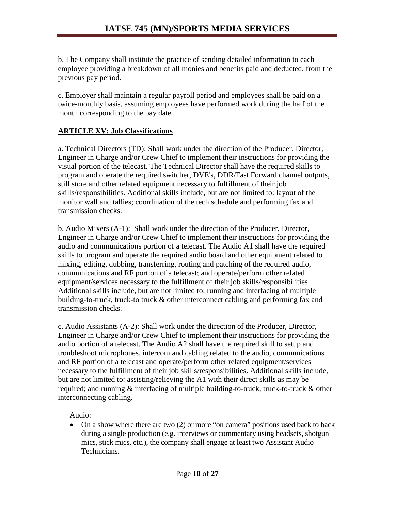b. The Company shall institute the practice of sending detailed information to each employee providing a breakdown of all monies and benefits paid and deducted, from the previous pay period.

c. Employer shall maintain a regular payroll period and employees shall be paid on a twice-monthly basis, assuming employees have performed work during the half of the month corresponding to the pay date.

### **ARTICLE XV: Job Classifications**

a. Technical Directors (TD): Shall work under the direction of the Producer, Director, Engineer in Charge and/or Crew Chief to implement their instructions for providing the visual portion of the telecast. The Technical Director shall have the required skills to program and operate the required switcher, DVE's, DDR/Fast Forward channel outputs, still store and other related equipment necessary to fulfillment of their job skills/responsibilities. Additional skills include, but are not limited to: layout of the monitor wall and tallies; coordination of the tech schedule and performing fax and transmission checks.

b. Audio Mixers (A-1): Shall work under the direction of the Producer, Director, Engineer in Charge and/or Crew Chief to implement their instructions for providing the audio and communications portion of a telecast. The Audio A1 shall have the required skills to program and operate the required audio board and other equipment related to mixing, editing, dubbing, transferring, routing and patching of the required audio, communications and RF portion of a telecast; and operate/perform other related equipment/services necessary to the fulfillment of their job skills/responsibilities. Additional skills include, but are not limited to: running and interfacing of multiple building-to-truck, truck-to truck & other interconnect cabling and performing fax and transmission checks.

c. Audio Assistants (A-2): Shall work under the direction of the Producer, Director, Engineer in Charge and/or Crew Chief to implement their instructions for providing the audio portion of a telecast. The Audio A2 shall have the required skill to setup and troubleshoot microphones, intercom and cabling related to the audio, communications and RF portion of a telecast and operate/perform other related equipment/services necessary to the fulfillment of their job skills/responsibilities. Additional skills include, but are not limited to: assisting/relieving the A1 with their direct skills as may be required; and running & interfacing of multiple building-to-truck, truck-to-truck & other interconnecting cabling.

Audio:

• On a show where there are two (2) or more "on camera" positions used back to back during a single production (e.g. interviews or commentary using headsets, shotgun mics, stick mics, etc.), the company shall engage at least two Assistant Audio Technicians.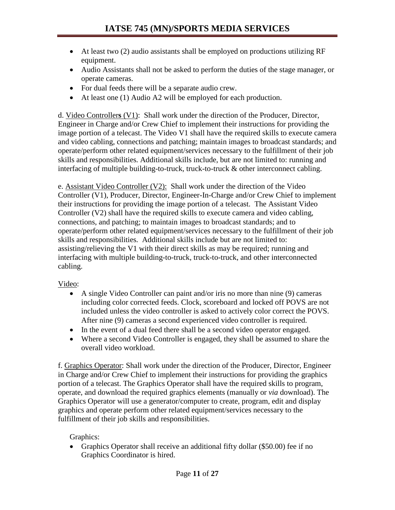- At least two (2) audio assistants shall be employed on productions utilizing RF equipment.
- Audio Assistants shall not be asked to perform the duties of the stage manager, or operate cameras.
- For dual feeds there will be a separate audio crew.
- At least one (1) Audio A2 will be employed for each production.

d. Video Controller**s** (V1): Shall work under the direction of the Producer, Director, Engineer in Charge and/or Crew Chief to implement their instructions for providing the image portion of a telecast. The Video V1 shall have the required skills to execute camera and video cabling, connections and patching; maintain images to broadcast standards; and operate/perform other related equipment/services necessary to the fulfillment of their job skills and responsibilities. Additional skills include, but are not limited to: running and interfacing of multiple building-to-truck, truck-to-truck & other interconnect cabling.

e. Assistant Video Controller (V2): Shall work under the direction of the Video Controller (V1), Producer, Director, Engineer-In-Charge and/or Crew Chief to implement their instructions for providing the image portion of a telecast. The Assistant Video Controller (V2) shall have the required skills to execute camera and video cabling, connections, and patching; to maintain images to broadcast standards; and to operate/perform other related equipment/services necessary to the fulfillment of their job skills and responsibilities. Additional skills include but are not limited to: assisting/relieving the V1 with their direct skills as may be required; running and interfacing with multiple building-to-truck, truck-to-truck, and other interconnected cabling.

Video:

- A single Video Controller can paint and/or iris no more than nine (9) cameras including color corrected feeds. Clock, scoreboard and locked off POVS are not included unless the video controller is asked to actively color correct the POVS. After nine (9) cameras a second experienced video controller is required.
- In the event of a dual feed there shall be a second video operator engaged.
- Where a second Video Controller is engaged, they shall be assumed to share the overall video workload.

f. Graphics Operator: Shall work under the direction of the Producer, Director, Engineer in Charge and/or Crew Chief to implement their instructions for providing the graphics portion of a telecast. The Graphics Operator shall have the required skills to program, operate, and download the required graphics elements (manually or *via* download). The Graphics Operator will use a generator/computer to create, program, edit and display graphics and operate perform other related equipment/services necessary to the fulfillment of their job skills and responsibilities.

Graphics:

• Graphics Operator shall receive an additional fifty dollar (\$50.00) fee if no Graphics Coordinator is hired.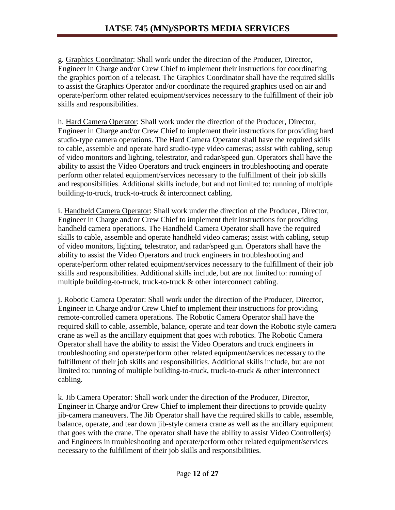g. Graphics Coordinator: Shall work under the direction of the Producer, Director, Engineer in Charge and/or Crew Chief to implement their instructions for coordinating the graphics portion of a telecast. The Graphics Coordinator shall have the required skills to assist the Graphics Operator and/or coordinate the required graphics used on air and operate/perform other related equipment/services necessary to the fulfillment of their job skills and responsibilities.

h. Hard Camera Operator: Shall work under the direction of the Producer, Director, Engineer in Charge and/or Crew Chief to implement their instructions for providing hard studio-type camera operations. The Hard Camera Operator shall have the required skills to cable, assemble and operate hard studio-type video cameras; assist with cabling, setup of video monitors and lighting, telestrator, and radar/speed gun. Operators shall have the ability to assist the Video Operators and truck engineers in troubleshooting and operate perform other related equipment/services necessary to the fulfillment of their job skills and responsibilities. Additional skills include, but and not limited to: running of multiple building-to-truck, truck-to-truck & interconnect cabling.

i. Handheld Camera Operator: Shall work under the direction of the Producer, Director, Engineer in Charge and/or Crew Chief to implement their instructions for providing handheld camera operations. The Handheld Camera Operator shall have the required skills to cable, assemble and operate handheld video cameras; assist with cabling, setup of video monitors, lighting, telestrator, and radar/speed gun. Operators shall have the ability to assist the Video Operators and truck engineers in troubleshooting and operate/perform other related equipment/services necessary to the fulfillment of their job skills and responsibilities. Additional skills include, but are not limited to: running of multiple building-to-truck, truck-to-truck & other interconnect cabling.

j. Robotic Camera Operator: Shall work under the direction of the Producer, Director, Engineer in Charge and/or Crew Chief to implement their instructions for providing remote-controlled camera operations. The Robotic Camera Operator shall have the required skill to cable, assemble, balance, operate and tear down the Robotic style camera crane as well as the ancillary equipment that goes with robotics. The Robotic Camera Operator shall have the ability to assist the Video Operators and truck engineers in troubleshooting and operate/perform other related equipment/services necessary to the fulfillment of their job skills and responsibilities. Additional skills include, but are not limited to: running of multiple building-to-truck, truck-to-truck & other interconnect cabling.

k. Jib Camera Operator: Shall work under the direction of the Producer, Director, Engineer in Charge and/or Crew Chief to implement their directions to provide quality jib-camera maneuvers. The Jib Operator shall have the required skills to cable, assemble, balance, operate, and tear down jib-style camera crane as well as the ancillary equipment that goes with the crane. The operator shall have the ability to assist Video Controller(s) and Engineers in troubleshooting and operate/perform other related equipment/services necessary to the fulfillment of their job skills and responsibilities.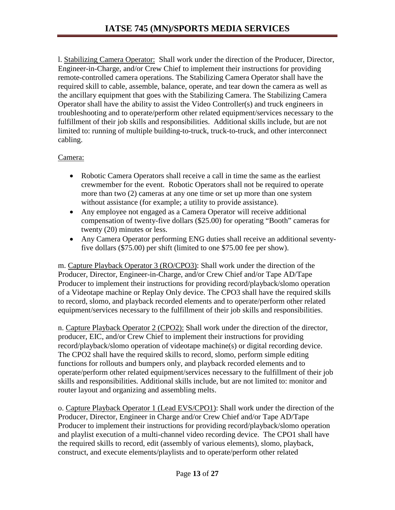l. Stabilizing Camera Operator: Shall work under the direction of the Producer, Director, Engineer-in-Charge, and/or Crew Chief to implement their instructions for providing remote-controlled camera operations. The Stabilizing Camera Operator shall have the required skill to cable, assemble, balance, operate, and tear down the camera as well as the ancillary equipment that goes with the Stabilizing Camera. The Stabilizing Camera Operator shall have the ability to assist the Video Controller(s) and truck engineers in troubleshooting and to operate/perform other related equipment/services necessary to the fulfillment of their job skills and responsibilities. Additional skills include, but are not limited to: running of multiple building-to-truck, truck-to-truck, and other interconnect cabling.

#### Camera:

- Robotic Camera Operators shall receive a call in time the same as the earliest crewmember for the event. Robotic Operators shall not be required to operate more than two (2) cameras at any one time or set up more than one system without assistance (for example; a utility to provide assistance).
- Any employee not engaged as a Camera Operator will receive additional compensation of twenty-five dollars (\$25.00) for operating "Booth" cameras for twenty (20) minutes or less.
- Any Camera Operator performing ENG duties shall receive an additional seventyfive dollars (\$75.00) per shift (limited to one \$75.00 fee per show).

m. Capture Playback Operator 3 (RO/CPO3): Shall work under the direction of the Producer, Director, Engineer-in-Charge, and/or Crew Chief and/or Tape AD/Tape Producer to implement their instructions for providing record/playback/slomo operation of a Videotape machine or Replay Only device. The CPO3 shall have the required skills to record, slomo, and playback recorded elements and to operate/perform other related equipment/services necessary to the fulfillment of their job skills and responsibilities.

n. Capture Playback Operator 2 (CPO2): Shall work under the direction of the director, producer, EIC, and/or Crew Chief to implement their instructions for providing record/playback/slomo operation of videotape machine(s) or digital recording device. The CPO2 shall have the required skills to record, slomo, perform simple editing functions for rollouts and bumpers only, and playback recorded elements and to operate/perform other related equipment/services necessary to the fulfillment of their job skills and responsibilities. Additional skills include, but are not limited to: monitor and router layout and organizing and assembling melts.

o. Capture Playback Operator 1 (Lead EVS/CPO1): Shall work under the direction of the Producer, Director, Engineer in Charge and/or Crew Chief and/or Tape AD/Tape Producer to implement their instructions for providing record/playback/slomo operation and playlist execution of a multi-channel video recording device. The CPO1 shall have the required skills to record, edit (assembly of various elements), slomo, playback, construct, and execute elements/playlists and to operate/perform other related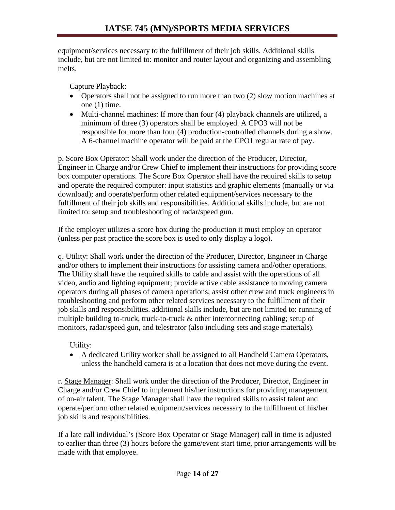equipment/services necessary to the fulfillment of their job skills. Additional skills include, but are not limited to: monitor and router layout and organizing and assembling melts.

Capture Playback:

- Operators shall not be assigned to run more than two (2) slow motion machines at one (1) time.
- Multi-channel machines: If more than four (4) playback channels are utilized, a minimum of three (3) operators shall be employed. A CPO3 will not be responsible for more than four (4) production-controlled channels during a show. A 6-channel machine operator will be paid at the CPO1 regular rate of pay.

p. Score Box Operator: Shall work under the direction of the Producer, Director, Engineer in Charge and/or Crew Chief to implement their instructions for providing score box computer operations. The Score Box Operator shall have the required skills to setup and operate the required computer: input statistics and graphic elements (manually or via download); and operate/perform other related equipment/services necessary to the fulfillment of their job skills and responsibilities. Additional skills include, but are not limited to: setup and troubleshooting of radar/speed gun.

If the employer utilizes a score box during the production it must employ an operator (unless per past practice the score box is used to only display a logo).

q. Utility: Shall work under the direction of the Producer, Director, Engineer in Charge and/or others to implement their instructions for assisting camera and/other operations. The Utility shall have the required skills to cable and assist with the operations of all video, audio and lighting equipment; provide active cable assistance to moving camera operators during all phases of camera operations; assist other crew and truck engineers in troubleshooting and perform other related services necessary to the fulfillment of their job skills and responsibilities. additional skills include, but are not limited to: running of multiple building to-truck, truck-to-truck & other interconnecting cabling; setup of monitors, radar/speed gun, and telestrator (also including sets and stage materials).

Utility:

• A dedicated Utility worker shall be assigned to all Handheld Camera Operators, unless the handheld camera is at a location that does not move during the event.

r. Stage Manager: Shall work under the direction of the Producer, Director, Engineer in Charge and/or Crew Chief to implement his/her instructions for providing management of on-air talent. The Stage Manager shall have the required skills to assist talent and operate/perform other related equipment/services necessary to the fulfillment of his/her job skills and responsibilities.

If a late call individual's (Score Box Operator or Stage Manager) call in time is adjusted to earlier than three (3) hours before the game/event start time, prior arrangements will be made with that employee.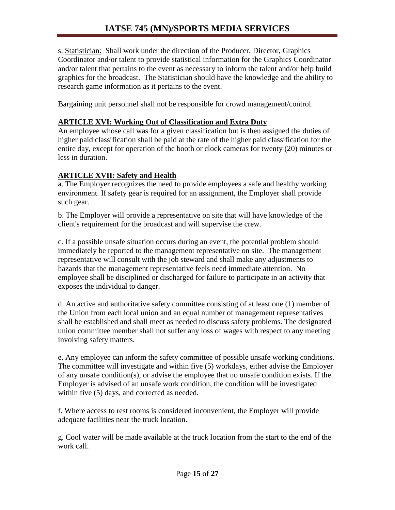s. Statistician: Shall work under the direction of the Producer, Director, Graphics Coordinator and/or talent to provide statistical information for the Graphics Coordinator and/or talent that pertains to the event as necessary to inform the talent and/or help build graphics for the broadcast. The Statistician should have the knowledge and the ability to research game information as it pertains to the event.

Bargaining unit personnel shall not be responsible for crowd management/control.

#### **ARTICLE XVI: Working Out of Classification and Extra Duty**

An employee whose call was for a given classification but is then assigned the duties of higher paid classification shall be paid at the rate of the higher paid classification for the entire day, except for operation of the booth or clock cameras for twenty (20) minutes or less in duration.

#### **ARTICLE XVII: Safety and Health**

a. The Employer recognizes the need to provide employees a safe and healthy working environment. If safety gear is required for an assignment, the Employer shall provide such gear.

b. The Employer will provide a representative on site that will have knowledge of the client's requirement for the broadcast and will supervise the crew.

c. If a possible unsafe situation occurs during an event, the potential problem should immediately be reported to the management representative on site. The management representative will consult with the job steward and shall make any adjustments to hazards that the management representative feels need immediate attention. No employee shall be disciplined or discharged for failure to participate in an activity that exposes the individual to danger.

d. An active and authoritative safety committee consisting of at least one (1) member of the Union from each local union and an equal number of management representatives shall be established and shall meet as needed to discuss safety problems. The designated union committee member shall not suffer any loss of wages with respect to any meeting involving safety matters.

e. Any employee can inform the safety committee of possible unsafe working conditions. The committee will investigate and within five (5) workdays, either advise the Employer of any unsafe condition(s), or advise the employee that no unsafe condition exists. If the Employer is advised of an unsafe work condition, the condition will be investigated within five (5) days, and corrected as needed.

f. Where access to rest rooms is considered inconvenient, the Employer will provide adequate facilities near the truck location.

g. Cool water will be made available at the truck location from the start to the end of the work call.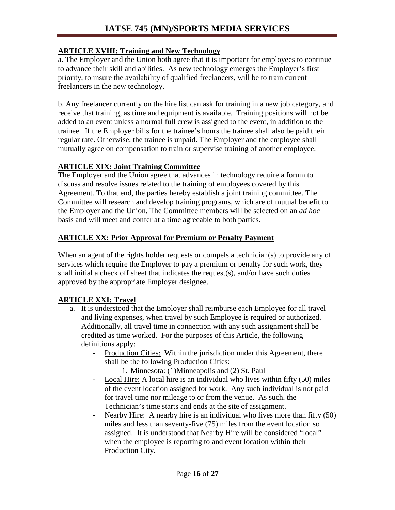### **ARTICLE XVIII: Training and New Technology**

a. The Employer and the Union both agree that it is important for employees to continue to advance their skill and abilities. As new technology emerges the Employer's first priority, to insure the availability of qualified freelancers, will be to train current freelancers in the new technology.

b. Any freelancer currently on the hire list can ask for training in a new job category, and receive that training, as time and equipment is available. Training positions will not be added to an event unless a normal full crew is assigned to the event, in addition to the trainee. If the Employer bills for the trainee's hours the trainee shall also be paid their regular rate. Otherwise, the trainee is unpaid. The Employer and the employee shall mutually agree on compensation to train or supervise training of another employee.

## **ARTICLE XIX: Joint Training Committee**

The Employer and the Union agree that advances in technology require a forum to discuss and resolve issues related to the training of employees covered by this Agreement. To that end, the parties hereby establish a joint training committee. The Committee will research and develop training programs, which are of mutual benefit to the Employer and the Union. The Committee members will be selected on an *ad hoc* basis and will meet and confer at a time agreeable to both parties.

## **ARTICLE XX: Prior Approval for Premium or Penalty Payment**

When an agent of the rights holder requests or compels a technician(s) to provide any of services which require the Employer to pay a premium or penalty for such work, they shall initial a check off sheet that indicates the request(s), and/or have such duties approved by the appropriate Employer designee.

# **ARTICLE XXI: Travel**

- a. It is understood that the Employer shall reimburse each Employee for all travel and living expenses, when travel by such Employee is required or authorized. Additionally, all travel time in connection with any such assignment shall be credited as time worked. For the purposes of this Article, the following definitions apply:
	- Production Cities: Within the jurisdiction under this Agreement, there shall be the following Production Cities:
		- 1. Minnesota: (1)Minneapolis and (2) St. Paul
	- Local Hire: A local hire is an individual who lives within fifty (50) miles of the event location assigned for work. Any such individual is not paid for travel time nor mileage to or from the venue. As such, the Technician's time starts and ends at the site of assignment.
	- Nearby Hire: A nearby hire is an individual who lives more than fifty (50) miles and less than seventy-five (75) miles from the event location so assigned. It is understood that Nearby Hire will be considered "local" when the employee is reporting to and event location within their Production City.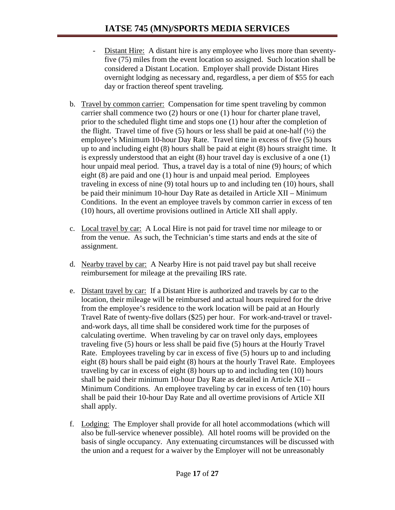- Distant Hire: A distant hire is any employee who lives more than seventyfive (75) miles from the event location so assigned. Such location shall be considered a Distant Location. Employer shall provide Distant Hires overnight lodging as necessary and, regardless, a per diem of \$55 for each day or fraction thereof spent traveling.
- b. Travel by common carrier: Compensation for time spent traveling by common carrier shall commence two (2) hours or one (1) hour for charter plane travel, prior to the scheduled flight time and stops one (1) hour after the completion of the flight. Travel time of five  $(5)$  hours or less shall be paid at one-half  $(\frac{1}{2})$  the employee's Minimum 10-hour Day Rate. Travel time in excess of five (5) hours up to and including eight (8) hours shall be paid at eight (8) hours straight time. It is expressly understood that an eight (8) hour travel day is exclusive of a one (1) hour unpaid meal period. Thus, a travel day is a total of nine (9) hours; of which eight (8) are paid and one (1) hour is and unpaid meal period. Employees traveling in excess of nine (9) total hours up to and including ten (10) hours, shall be paid their minimum 10-hour Day Rate as detailed in Article XII – Minimum Conditions. In the event an employee travels by common carrier in excess of ten (10) hours, all overtime provisions outlined in Article XII shall apply.
- c. Local travel by car: A Local Hire is not paid for travel time nor mileage to or from the venue. As such, the Technician's time starts and ends at the site of assignment.
- d. Nearby travel by car: A Nearby Hire is not paid travel pay but shall receive reimbursement for mileage at the prevailing IRS rate.
- e. Distant travel by car: If a Distant Hire is authorized and travels by car to the location, their mileage will be reimbursed and actual hours required for the drive from the employee's residence to the work location will be paid at an Hourly Travel Rate of twenty-five dollars (\$25) per hour. For work-and-travel or traveland-work days, all time shall be considered work time for the purposes of calculating overtime. When traveling by car on travel only days, employees traveling five (5) hours or less shall be paid five (5) hours at the Hourly Travel Rate. Employees traveling by car in excess of five (5) hours up to and including eight (8) hours shall be paid eight (8) hours at the hourly Travel Rate. Employees traveling by car in excess of eight (8) hours up to and including ten (10) hours shall be paid their minimum 10-hour Day Rate as detailed in Article XII – Minimum Conditions. An employee traveling by car in excess of ten (10) hours shall be paid their 10-hour Day Rate and all overtime provisions of Article XII shall apply.
- f. Lodging: The Employer shall provide for all hotel accommodations (which will also be full-service whenever possible). All hotel rooms will be provided on the basis of single occupancy. Any extenuating circumstances will be discussed with the union and a request for a waiver by the Employer will not be unreasonably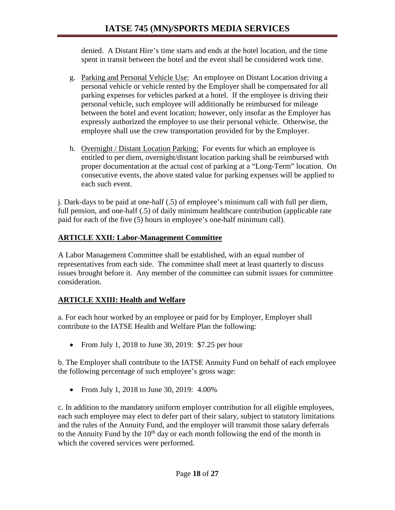denied. A Distant Hire's time starts and ends at the hotel location, and the time spent in transit between the hotel and the event shall be considered work time.

- g. Parking and Personal Vehicle Use: An employee on Distant Location driving a personal vehicle or vehicle rented by the Employer shall be compensated for all parking expenses for vehicles parked at a hotel. If the employee is driving their personal vehicle, such employee will additionally be reimbursed for mileage between the hotel and event location; however, only insofar as the Employer has expressly authorized the employee to use their personal vehicle. Otherwise, the employee shall use the crew transportation provided for by the Employer.
- h. Overnight / Distant Location Parking: For events for which an employee is entitled to per diem, overnight/distant location parking shall be reimbursed with proper documentation at the actual cost of parking at a "Long-Term" location. On consecutive events, the above stated value for parking expenses will be applied to each such event.

j. Dark-days to be paid at one-half (.5) of employee's minimum call with full per diem, full pension, and one-half (.5) of daily minimum healthcare contribution (applicable rate paid for each of the five (5) hours in employee's one-half minimum call).

## **ARTICLE XXII: Labor-Management Committee**

A Labor Management Committee shall be established, with an equal number of representatives from each side. The committee shall meet at least quarterly to discuss issues brought before it. Any member of the committee can submit issues for committee consideration.

# **ARTICLE XXIII: Health and Welfare**

a. For each hour worked by an employee or paid for by Employer, Employer shall contribute to the IATSE Health and Welfare Plan the following:

• From July 1, 2018 to June 30, 2019: \$7.25 per hour

b. The Employer shall contribute to the IATSE Annuity Fund on behalf of each employee the following percentage of such employee's gross wage:

• From July 1, 2018 to June 30, 2019: 4.00%

c. In addition to the mandatory uniform employer contribution for all eligible employees, each such employee may elect to defer part of their salary, subject to statutory limitations and the rules of the Annuity Fund, and the employer will transmit those salary deferrals to the Annuity Fund by the  $10<sup>th</sup>$  day or each month following the end of the month in which the covered services were performed.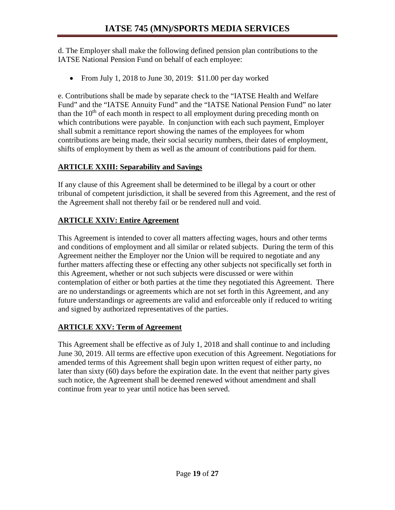d. The Employer shall make the following defined pension plan contributions to the IATSE National Pension Fund on behalf of each employee:

• From July 1, 2018 to June 30, 2019: \$11.00 per day worked

e. Contributions shall be made by separate check to the "IATSE Health and Welfare Fund" and the "IATSE Annuity Fund" and the "IATSE National Pension Fund" no later than the  $10<sup>th</sup>$  of each month in respect to all employment during preceding month on which contributions were payable. In conjunction with each such payment, Employer shall submit a remittance report showing the names of the employees for whom contributions are being made, their social security numbers, their dates of employment, shifts of employment by them as well as the amount of contributions paid for them.

## **ARTICLE XXIII: Separability and Savings**

If any clause of this Agreement shall be determined to be illegal by a court or other tribunal of competent jurisdiction, it shall be severed from this Agreement, and the rest of the Agreement shall not thereby fail or be rendered null and void.

# **ARTICLE XXIV: Entire Agreement**

This Agreement is intended to cover all matters affecting wages, hours and other terms and conditions of employment and all similar or related subjects. During the term of this Agreement neither the Employer nor the Union will be required to negotiate and any further matters affecting these or effecting any other subjects not specifically set forth in this Agreement, whether or not such subjects were discussed or were within contemplation of either or both parties at the time they negotiated this Agreement. There are no understandings or agreements which are not set forth in this Agreement, and any future understandings or agreements are valid and enforceable only if reduced to writing and signed by authorized representatives of the parties.

## **ARTICLE XXV: Term of Agreement**

This Agreement shall be effective as of July 1, 2018 and shall continue to and including June 30, 2019. All terms are effective upon execution of this Agreement. Negotiations for amended terms of this Agreement shall begin upon written request of either party, no later than sixty (60) days before the expiration date. In the event that neither party gives such notice, the Agreement shall be deemed renewed without amendment and shall continue from year to year until notice has been served.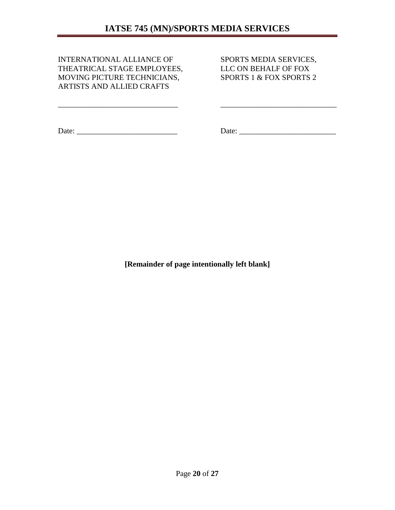\_\_\_\_\_\_\_\_\_\_\_\_\_\_\_\_\_\_\_\_\_\_\_\_\_\_\_\_\_\_\_ \_\_\_\_\_\_\_\_\_\_\_\_\_\_\_\_\_\_\_\_\_\_\_\_\_\_\_\_\_\_

INTERNATIONAL ALLIANCE OF SPORTS MEDIA SERVICES,<br>THEATRICAL STAGE EMPLOYEES, LLC ON BEHALF OF FOX THEATRICAL STAGE EMPLOYEES, MOVING PICTURE TECHNICIANS, SPORTS 1 & FOX SPORTS 2 ARTISTS AND ALLIED CRAFTS

Date: \_\_\_\_\_\_\_\_\_\_\_\_\_\_\_\_\_\_\_\_\_\_\_\_\_\_ Date: \_\_\_\_\_\_\_\_\_\_\_\_\_\_\_\_\_\_\_\_\_\_\_\_\_

**[Remainder of page intentionally left blank]**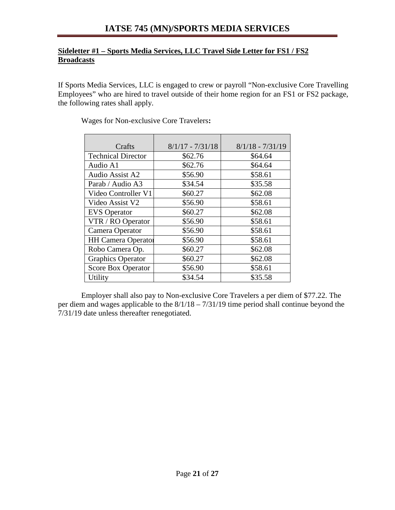# **IATSE 745 (MN)/SPORTS MEDIA SERVICES**

#### **Sideletter #1 – Sports Media Services, LLC Travel Side Letter for FS1 / FS2 Broadcasts**

If Sports Media Services, LLC is engaged to crew or payroll "Non-exclusive Core Travelling Employees" who are hired to travel outside of their home region for an FS1 or FS2 package, the following rates shall apply.

|                           | $8/1/17 - 7/31/18$ | $8/1/18 - 7/31/19$ |
|---------------------------|--------------------|--------------------|
| Crafts                    |                    |                    |
| <b>Technical Director</b> | \$62.76            | \$64.64            |
| Audio A1                  | \$62.76            | \$64.64            |
| Audio Assist A2           | \$56.90            | \$58.61            |
| Parab / Audio A3          | \$34.54            | \$35.58            |
| Video Controller V1       | \$60.27            | \$62.08            |
| Video Assist V2           | \$56.90            | \$58.61            |
| <b>EVS</b> Operator       | \$60.27            | \$62.08            |
| VTR / RO Operator         | \$56.90            | \$58.61            |
| Camera Operator           | \$56.90            | \$58.61            |
| <b>HH Camera Operator</b> | \$56.90            | \$58.61            |
| Robo Camera Op.           | \$60.27            | \$62.08            |
| <b>Graphics Operator</b>  | \$60.27            | \$62.08            |
| <b>Score Box Operator</b> | \$56.90            | \$58.61            |
| Utility                   | \$34.54            | \$35.58            |

Wages for Non-exclusive Core Travelers**:**

Employer shall also pay to Non-exclusive Core Travelers a per diem of \$77.22. The per diem and wages applicable to the 8/1/18 – 7/31/19 time period shall continue beyond the 7/31/19 date unless thereafter renegotiated.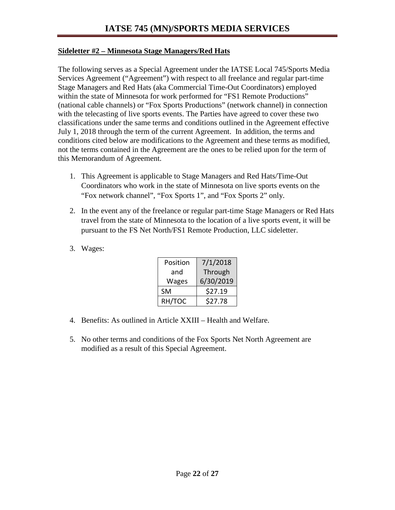#### **Sideletter #2 – Minnesota Stage Managers/Red Hats**

The following serves as a Special Agreement under the IATSE Local 745/Sports Media Services Agreement ("Agreement") with respect to all freelance and regular part-time Stage Managers and Red Hats (aka Commercial Time-Out Coordinators) employed within the state of Minnesota for work performed for "FS1 Remote Productions" (national cable channels) or "Fox Sports Productions" (network channel) in connection with the telecasting of live sports events. The Parties have agreed to cover these two classifications under the same terms and conditions outlined in the Agreement effective July 1, 2018 through the term of the current Agreement. In addition, the terms and conditions cited below are modifications to the Agreement and these terms as modified, not the terms contained in the Agreement are the ones to be relied upon for the term of this Memorandum of Agreement.

- 1. This Agreement is applicable to Stage Managers and Red Hats/Time-Out Coordinators who work in the state of Minnesota on live sports events on the "Fox network channel", "Fox Sports 1", and "Fox Sports 2" only.
- 2. In the event any of the freelance or regular part-time Stage Managers or Red Hats travel from the state of Minnesota to the location of a live sports event, it will be pursuant to the FS Net North/FS1 Remote Production, LLC sideletter.
- 3. Wages:

| Position     | 7/1/2018  |
|--------------|-----------|
| and          | Through   |
| <b>Wages</b> | 6/30/2019 |
| <b>SM</b>    | \$27.19   |
| RH/TOC       | \$27.78   |

- 4. Benefits: As outlined in Article XXIII Health and Welfare.
- 5. No other terms and conditions of the Fox Sports Net North Agreement are modified as a result of this Special Agreement.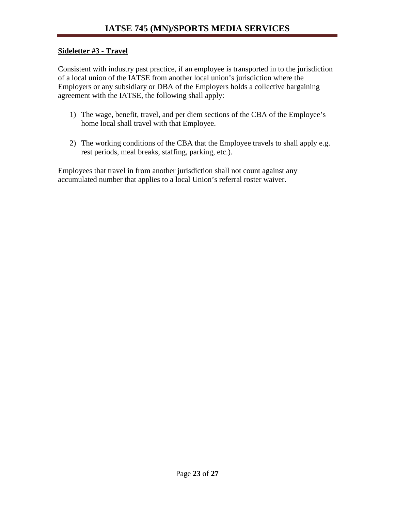#### **Sideletter #3 - Travel**

Consistent with industry past practice, if an employee is transported in to the jurisdiction of a local union of the IATSE from another local union's jurisdiction where the Employers or any subsidiary or DBA of the Employers holds a collective bargaining agreement with the IATSE, the following shall apply:

- 1) The wage, benefit, travel, and per diem sections of the CBA of the Employee's home local shall travel with that Employee.
- 2) The working conditions of the CBA that the Employee travels to shall apply e.g. rest periods, meal breaks, staffing, parking, etc.).

Employees that travel in from another jurisdiction shall not count against any accumulated number that applies to a local Union's referral roster waiver.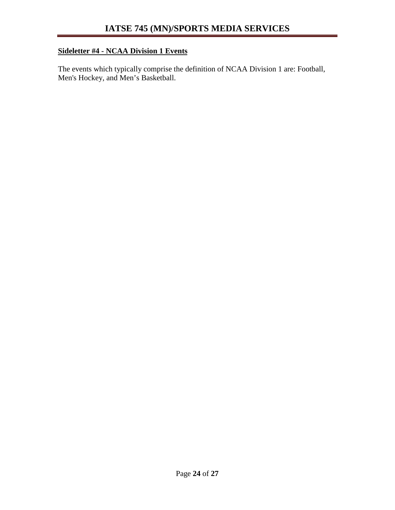# **Sideletter #4 - NCAA Division 1 Events**

The events which typically comprise the definition of NCAA Division 1 are: Football, Men's Hockey, and Men's Basketball.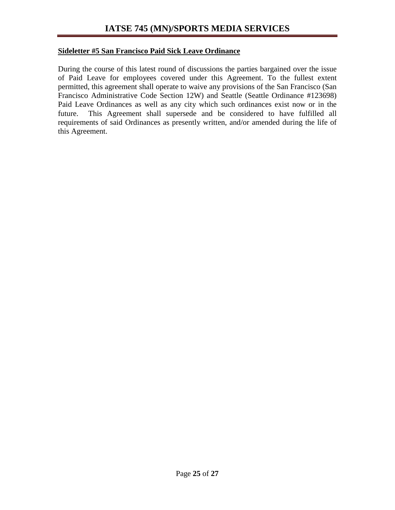#### **Sideletter #5 San Francisco Paid Sick Leave Ordinance**

During the course of this latest round of discussions the parties bargained over the issue of Paid Leave for employees covered under this Agreement. To the fullest extent permitted, this agreement shall operate to waive any provisions of the San Francisco (San Francisco Administrative Code Section 12W) and Seattle (Seattle Ordinance #123698) Paid Leave Ordinances as well as any city which such ordinances exist now or in the future. This Agreement shall supersede and be considered to have fulfilled all requirements of said Ordinances as presently written, and/or amended during the life of this Agreement.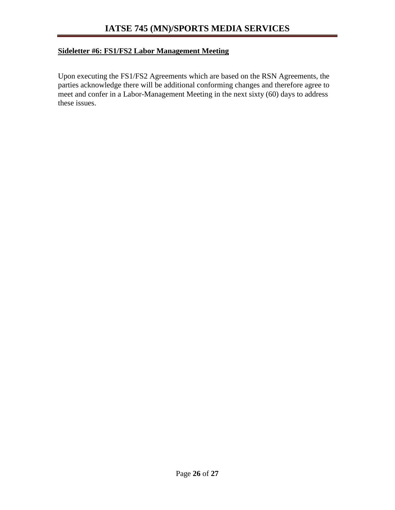### **Sideletter #6: FS1/FS2 Labor Management Meeting**

Upon executing the FS1/FS2 Agreements which are based on the RSN Agreements, the parties acknowledge there will be additional conforming changes and therefore agree to meet and confer in a Labor-Management Meeting in the next sixty (60) days to address these issues.